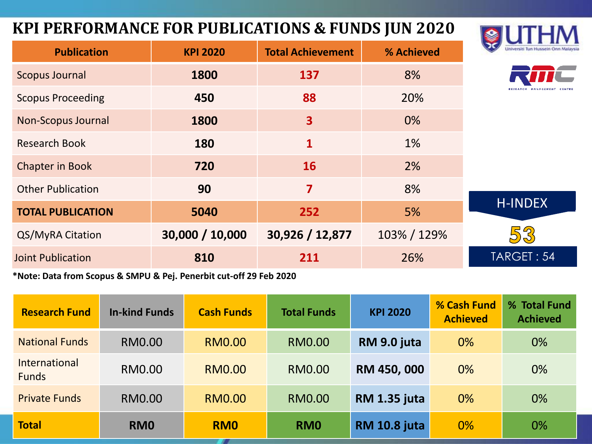#### **KPI PERFORMANCE FOR PUBLICATIONS & FUNDS JUN 2020**



| <b>Publication</b>                                                                                                                            | <b>KPI 2020</b> | <b>Total Achievement</b> | % Achieved  | Universiti Tun Hussein Onn Malay |  |  |  |
|-----------------------------------------------------------------------------------------------------------------------------------------------|-----------------|--------------------------|-------------|----------------------------------|--|--|--|
| <b>Scopus Journal</b>                                                                                                                         | 1800            | 137                      | 8%          |                                  |  |  |  |
| <b>Scopus Proceeding</b>                                                                                                                      | 450             | 88                       | 20%         |                                  |  |  |  |
| <b>Non-Scopus Journal</b>                                                                                                                     | 1800            | $\overline{\mathbf{3}}$  | 0%          |                                  |  |  |  |
| <b>Research Book</b>                                                                                                                          | 180             | 1                        | 1%          |                                  |  |  |  |
| <b>Chapter in Book</b>                                                                                                                        | 720             | <b>16</b>                | 2%          |                                  |  |  |  |
| <b>Other Publication</b>                                                                                                                      | 90              | $\overline{\mathbf{z}}$  | 8%          |                                  |  |  |  |
| <b>TOTAL PUBLICATION</b>                                                                                                                      | 5040            | 252                      | 5%          | <b>H-INDEX</b>                   |  |  |  |
| QS/MyRA Citation                                                                                                                              | 30,000 / 10,000 | 30,926 / 12,877          | 103% / 129% | 53                               |  |  |  |
| <b>Joint Publication</b>                                                                                                                      | 810             | 211                      | 26%         | TARGET: 54                       |  |  |  |
| $*$ and $R_{\text{max}}$ and $R_{\text{max}}$ are a subset of $R_{\text{max}}$ and $R_{\text{max}}$ and $R_{\text{max}}$ and $R_{\text{max}}$ |                 |                          |             |                                  |  |  |  |

**\*Note: Data from Scopus & SMPU & Pej. Penerbit cut-off 29 Feb 2020**

| <b>Research Fund</b>                 | <b>In-kind Funds</b> | <b>Cash Funds</b> | <b>Total Funds</b> | <b>KPI 2020</b>     | % Cash Fund<br><b>Achieved</b> | % Total Fund<br><b>Achieved</b> |
|--------------------------------------|----------------------|-------------------|--------------------|---------------------|--------------------------------|---------------------------------|
| <b>National Funds</b>                | RM0.00               | <b>RM0.00</b>     | RM0.00             | RM 9.0 juta         | $0\%$                          | $0\%$                           |
| <b>International</b><br><b>Funds</b> | RM0.00               | <b>RM0.00</b>     | RM0.00             | RM 450, 000         | 0%                             | 0%                              |
| <b>Private Funds</b>                 | <b>RM0.00</b>        | <b>RM0.00</b>     | <b>RM0.00</b>      | <b>RM 1.35 juta</b> | 0%                             | 0%                              |
| <b>Total</b>                         | RM <sub>0</sub>      | <b>RMO</b>        | RM <sub>0</sub>    | <b>RM 10.8 juta</b> | 0%                             | 0%                              |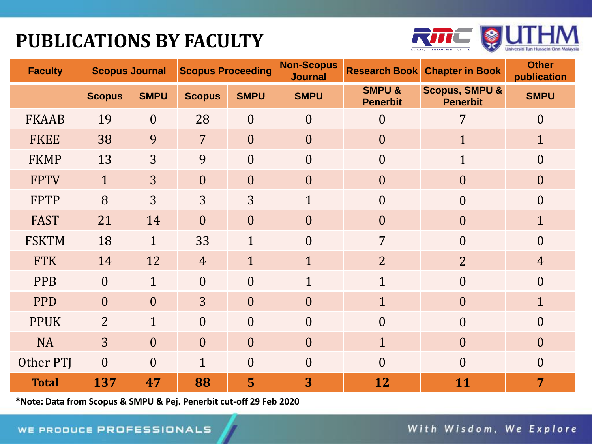## **PUBLICATIONS BY FACULTY**



| <b>Faculty</b> | <b>Scopus Journal</b> |                | <b>Scopus Proceeding</b> |                | <b>Non-Scopus</b><br><b>Journal</b> | <b>Research Book</b>                 | <b>Chapter in Book</b>                       | <b>Other</b><br>publication |
|----------------|-----------------------|----------------|--------------------------|----------------|-------------------------------------|--------------------------------------|----------------------------------------------|-----------------------------|
|                | <b>Scopus</b>         | <b>SMPU</b>    | <b>Scopus</b>            | <b>SMPU</b>    | <b>SMPU</b>                         | <b>SMPU &amp;</b><br><b>Penerbit</b> | <b>Scopus, SMPU &amp;</b><br><b>Penerbit</b> | <b>SMPU</b>                 |
| <b>FKAAB</b>   | 19                    | $\overline{0}$ | 28                       | $\overline{0}$ | $\overline{0}$                      | $\overline{0}$                       | 7                                            | $\boldsymbol{0}$            |
| <b>FKEE</b>    | 38                    | 9              | $\overline{7}$           | $\overline{0}$ | $\overline{0}$                      | $\boldsymbol{0}$                     | $\mathbf{1}$                                 | $\mathbf{1}$                |
| <b>FKMP</b>    | 13                    | 3              | 9                        | $\theta$       | $\overline{0}$                      | $\theta$                             | $\mathbf{1}$                                 | $\boldsymbol{0}$            |
| <b>FPTV</b>    | $\mathbf{1}$          | $\overline{3}$ | $\overline{0}$           | $\overline{0}$ | $\overline{0}$                      | $\overline{0}$                       | $\overline{0}$                               | $\boldsymbol{0}$            |
| <b>FPTP</b>    | 8                     | $\overline{3}$ | 3                        | 3              | $\mathbf{1}$                        | $\overline{0}$                       | $\overline{0}$                               | $\boldsymbol{0}$            |
| <b>FAST</b>    | 21                    | 14             | $\overline{0}$           | $\overline{0}$ | $\overline{0}$                      | $\overline{0}$                       | $\overline{0}$                               | $\mathbf{1}$                |
| <b>FSKTM</b>   | 18                    | $\mathbf{1}$   | 33                       | $\mathbf{1}$   | $\theta$                            | $\overline{7}$                       | $\theta$                                     | $\overline{0}$              |
| <b>FTK</b>     | 14                    | 12             | $\overline{4}$           | $\mathbf{1}$   | $\mathbf{1}$                        | $\overline{2}$                       | $\overline{2}$                               | $\overline{4}$              |
| <b>PPB</b>     | $\theta$              | $\mathbf{1}$   | $\overline{0}$           | $\overline{0}$ | $\mathbf{1}$                        | $\mathbf{1}$                         | $\overline{0}$                               | $\overline{0}$              |
| <b>PPD</b>     | $\overline{0}$        | $\overline{0}$ | $\overline{3}$           | $\theta$       | $\theta$                            | $\mathbf{1}$                         | $\overline{0}$                               | $\mathbf{1}$                |
| <b>PPUK</b>    | $\overline{2}$        | $\mathbf{1}$   | $\theta$                 | $\theta$       | $\theta$                            | $\overline{0}$                       | $\overline{0}$                               | $\boldsymbol{0}$            |
| <b>NA</b>      | $\overline{3}$        | $\overline{0}$ | $\overline{0}$           | $\theta$       | $\theta$                            | $\mathbf{1}$                         | $\boldsymbol{0}$                             | $\boldsymbol{0}$            |
| Other PTJ      | $\overline{0}$        | $\overline{0}$ | $\mathbf{1}$             | $\overline{0}$ | $\overline{0}$                      | $\overline{0}$                       | $\theta$                                     | $\boldsymbol{0}$            |
| <b>Total</b>   | 137                   | 47             | 88                       | 5              | 3                                   | 12                                   | 11                                           | 7                           |

**\*Note: Data from Scopus & SMPU & Pej. Penerbit cut-off 29 Feb 2020**

With Wisdom, We Explore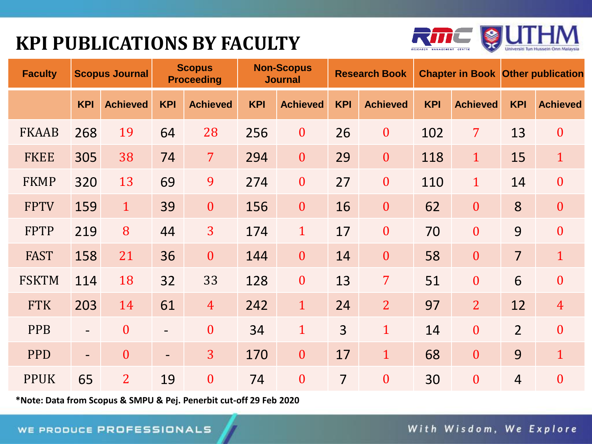## **KPI PUBLICATIONS BY FACULTY**



| <b>Faculty</b> |                          | <b>Scopus Journal</b> |                          | <b>Scopus</b><br><b>Proceeding</b> |            | <b>Non-Scopus</b><br><b>Journal</b> |                | <b>Research Book</b> |            | <b>Chapter in Book Other publication</b> |                |                  |
|----------------|--------------------------|-----------------------|--------------------------|------------------------------------|------------|-------------------------------------|----------------|----------------------|------------|------------------------------------------|----------------|------------------|
|                | <b>KPI</b>               | <b>Achieved</b>       | <b>KPI</b>               | <b>Achieved</b>                    | <b>KPI</b> | <b>Achieved</b>                     | <b>KPI</b>     | <b>Achieved</b>      | <b>KPI</b> | <b>Achieved</b>                          | <b>KPI</b>     | <b>Achieved</b>  |
| <b>FKAAB</b>   | 268                      | 19                    | 64                       | 28                                 | 256        | $\boldsymbol{0}$                    | 26             | $\boldsymbol{0}$     | 102        | $\overline{7}$                           | 13             | $\boldsymbol{0}$ |
| <b>FKEE</b>    | 305                      | 38                    | 74                       | $\overline{7}$                     | 294        | $\mathbf{0}$                        | 29             | $\mathbf{0}$         | 118        | $\mathbf{1}$                             | 15             | $\mathbf{1}$     |
| <b>FKMP</b>    | 320                      | 13                    | 69                       | 9                                  | 274        | $\boldsymbol{0}$                    | 27             | $\boldsymbol{0}$     | 110        | $\mathbf{1}$                             | 14             | $\boldsymbol{0}$ |
| <b>FPTV</b>    | 159                      | $\mathbf{1}$          | 39                       | $\boldsymbol{0}$                   | 156        | $\boldsymbol{0}$                    | 16             | $\boldsymbol{0}$     | 62         | $\boldsymbol{0}$                         | 8              | $\boldsymbol{0}$ |
| <b>FPTP</b>    | 219                      | 8                     | 44                       | 3                                  | 174        | $\mathbf{1}$                        | 17             | $\mathbf{0}$         | 70         | $\mathbf{0}$                             | 9              | $\overline{0}$   |
| <b>FAST</b>    | 158                      | 21                    | 36                       | $\boldsymbol{0}$                   | 144        | $\boldsymbol{0}$                    | 14             | $\boldsymbol{0}$     | 58         | $\mathbf{0}$                             | $\overline{7}$ | $\mathbf{1}$     |
| <b>FSKTM</b>   | 114                      | 18                    | 32                       | 33                                 | 128        | $\boldsymbol{0}$                    | 13             | $\overline{7}$       | 51         | $\mathbf{0}$                             | 6              | $\mathbf{0}$     |
| <b>FTK</b>     | 203                      | 14                    | 61                       | $\overline{4}$                     | 242        | $\mathbf{1}$                        | 24             | $\overline{2}$       | 97         | $\overline{2}$                           | 12             | $\overline{4}$   |
| <b>PPB</b>     | $\overline{\phantom{0}}$ | $\overline{0}$        | $\overline{\phantom{a}}$ | $\mathbf{0}$                       | 34         | $\mathbf{1}$                        | $\overline{3}$ | $\mathbf{1}$         | 14         | $\overline{0}$                           | $\overline{2}$ | $\boldsymbol{0}$ |
| <b>PPD</b>     | $\overline{\phantom{0}}$ | $\overline{0}$        | $\overline{\phantom{a}}$ | $\overline{3}$                     | 170        | $\boldsymbol{0}$                    | 17             | $\mathbf{1}$         | 68         | $\mathbf{0}$                             | 9              | $\mathbf{1}$     |
| <b>PPUK</b>    | 65                       | $\overline{2}$        | 19                       | $\mathbf{0}$                       | 74         | $\boldsymbol{0}$                    | $\overline{7}$ | $\mathbf{0}$         | 30         | $\overline{0}$                           | $\overline{4}$ | $\overline{0}$   |

**\*Note: Data from Scopus & SMPU & Pej. Penerbit cut-off 29 Feb 2020**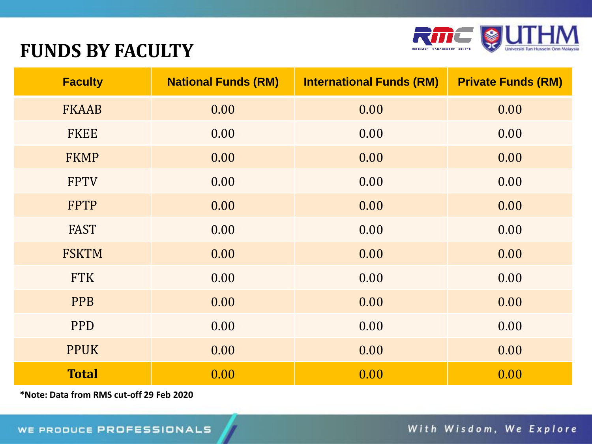

#### **FUNDS BY FACULTY**

| <b>Faculty</b> | <b>National Funds (RM)</b> | <b>International Funds (RM)</b> | <b>Private Funds (RM)</b> |
|----------------|----------------------------|---------------------------------|---------------------------|
| <b>FKAAB</b>   | 0.00                       | 0.00                            | 0.00                      |
| <b>FKEE</b>    | 0.00                       | 0.00                            | 0.00                      |
| <b>FKMP</b>    | 0.00                       | 0.00                            | 0.00                      |
| <b>FPTV</b>    | 0.00                       | 0.00                            | 0.00                      |
| <b>FPTP</b>    | 0.00                       | 0.00                            | 0.00                      |
| <b>FAST</b>    | 0.00                       | 0.00                            | 0.00                      |
| <b>FSKTM</b>   | 0.00                       | 0.00                            | 0.00                      |
| <b>FTK</b>     | 0.00                       | 0.00                            | 0.00                      |
| <b>PPB</b>     | 0.00                       | 0.00                            | 0.00                      |
| <b>PPD</b>     | 0.00                       | 0.00                            | 0.00                      |
| <b>PPUK</b>    | 0.00                       | 0.00                            | 0.00                      |
| <b>Total</b>   | 0.00                       | 0.00                            | 0.00                      |

**\*Note: Data from RMS cut-off 29 Feb 2020**

With Wisdom, We Explore